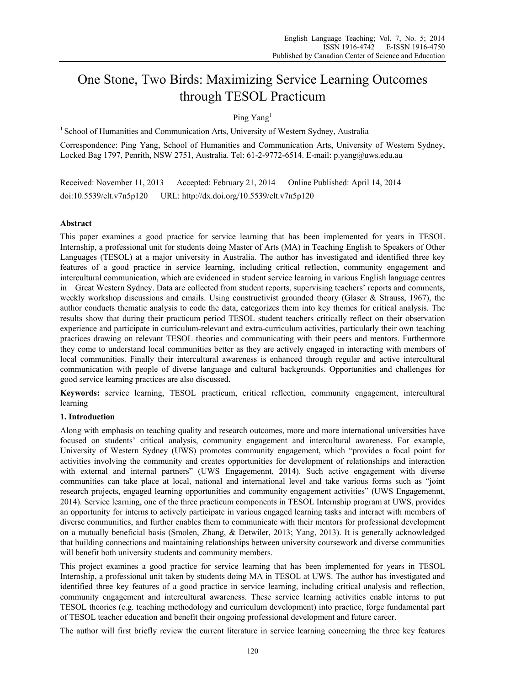# One Stone, Two Birds: Maximizing Service Learning Outcomes through TESOL Practicum

Ping Yang<sup>1</sup>

<sup>1</sup> School of Humanities and Communication Arts, University of Western Sydney, Australia

Correspondence: Ping Yang, School of Humanities and Communication Arts, University of Western Sydney, Locked Bag 1797, Penrith, NSW 2751, Australia. Tel: 61-2-9772-6514. E-mail: p.yang@uws.edu.au

Received: November 11, 2013 Accepted: February 21, 2014 Online Published: April 14, 2014 doi:10.5539/elt.v7n5p120 URL: http://dx.doi.org/10.5539/elt.v7n5p120

# **Abstract**

This paper examines a good practice for service learning that has been implemented for years in TESOL Internship, a professional unit for students doing Master of Arts (MA) in Teaching English to Speakers of Other Languages (TESOL) at a major university in Australia. The author has investigated and identified three key features of a good practice in service learning, including critical reflection, community engagement and intercultural communication, which are evidenced in student service learning in various English language centres in Great Western Sydney. Data are collected from student reports, supervising teachers' reports and comments, weekly workshop discussions and emails. Using constructivist grounded theory (Glaser & Strauss, 1967), the author conducts thematic analysis to code the data, categorizes them into key themes for critical analysis. The results show that during their practicum period TESOL student teachers critically reflect on their observation experience and participate in curriculum-relevant and extra-curriculum activities, particularly their own teaching practices drawing on relevant TESOL theories and communicating with their peers and mentors. Furthermore they come to understand local communities better as they are actively engaged in interacting with members of local communities. Finally their intercultural awareness is enhanced through regular and active intercultural communication with people of diverse language and cultural backgrounds. Opportunities and challenges for good service learning practices are also discussed.

**Keywords:** service learning, TESOL practicum, critical reflection, community engagement, intercultural learning

# **1. Introduction**

Along with emphasis on teaching quality and research outcomes, more and more international universities have focused on students' critical analysis, community engagement and intercultural awareness. For example, University of Western Sydney (UWS) promotes community engagement, which "provides a focal point for activities involving the community and creates opportunities for development of relationships and interaction with external and internal partners" (UWS Engagemennt, 2014). Such active engagement with diverse communities can take place at local, national and international level and take various forms such as "joint research projects, engaged learning opportunities and community engagement activities" (UWS Engagemennt, 2014). Service learning, one of the three practicum components in TESOL Internship program at UWS, provides an opportunity for interns to actively participate in various engaged learning tasks and interact with members of diverse communities, and further enables them to communicate with their mentors for professional development on a mutually beneficial basis (Smolen, Zhang, & Detwiler, 2013; Yang, 2013). It is generally acknowledged that building connections and maintaining relationships between university coursework and diverse communities will benefit both university students and community members.

This project examines a good practice for service learning that has been implemented for years in TESOL Internship, a professional unit taken by students doing MA in TESOL at UWS. The author has investigated and identified three key features of a good practice in service learning, including critical analysis and reflection, community engagement and intercultural awareness. These service learning activities enable interns to put TESOL theories (e.g. teaching methodology and curriculum development) into practice, forge fundamental part of TESOL teacher education and benefit their ongoing professional development and future career.

The author will first briefly review the current literature in service learning concerning the three key features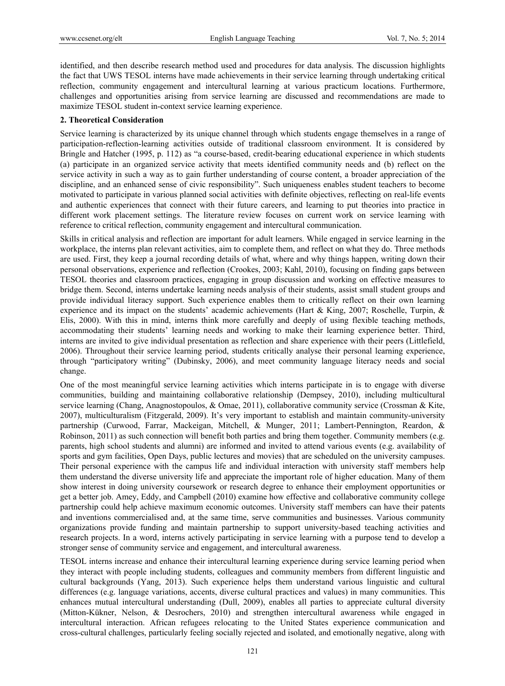identified, and then describe research method used and procedures for data analysis. The discussion highlights the fact that UWS TESOL interns have made achievements in their service learning through undertaking critical reflection, community engagement and intercultural learning at various practicum locations. Furthermore, challenges and opportunities arising from service learning are discussed and recommendations are made to maximize TESOL student in-context service learning experience.

# **2. Theoretical Consideration**

Service learning is characterized by its unique channel through which students engage themselves in a range of participation-reflection-learning activities outside of traditional classroom environment. It is considered by Bringle and Hatcher (1995, p. 112) as "a course-based, credit-bearing educational experience in which students (a) participate in an organized service activity that meets identified community needs and (b) reflect on the service activity in such a way as to gain further understanding of course content, a broader appreciation of the discipline, and an enhanced sense of civic responsibility". Such uniqueness enables student teachers to become motivated to participate in various planned social activities with definite objectives, reflecting on real-life events and authentic experiences that connect with their future careers, and learning to put theories into practice in different work placement settings. The literature review focuses on current work on service learning with reference to critical reflection, community engagement and intercultural communication.

Skills in critical analysis and reflection are important for adult learners. While engaged in service learning in the workplace, the interns plan relevant activities, aim to complete them, and reflect on what they do. Three methods are used. First, they keep a journal recording details of what, where and why things happen, writing down their personal observations, experience and reflection (Crookes, 2003; Kahl, 2010), focusing on finding gaps between TESOL theories and classroom practices, engaging in group discussion and working on effective measures to bridge them. Second, interns undertake learning needs analysis of their students, assist small student groups and provide individual literacy support. Such experience enables them to critically reflect on their own learning experience and its impact on the students' academic achievements (Hart & King, 2007; Roschelle, Turpin,  $\&$ Elis, 2000). With this in mind, interns think more carefully and deeply of using flexible teaching methods, accommodating their students' learning needs and working to make their learning experience better. Third, interns are invited to give individual presentation as reflection and share experience with their peers (Littlefield, 2006). Throughout their service learning period, students critically analyse their personal learning experience, through "participatory writing" (Dubinsky, 2006), and meet community language literacy needs and social change.

One of the most meaningful service learning activities which interns participate in is to engage with diverse communities, building and maintaining collaborative relationship (Dempsey, 2010), including multicultural service learning (Chang, Anagnostopoulos, & Omae, 2011), collaborative community service (Crossman & Kite, 2007), multiculturalism (Fitzgerald, 2009). It's very important to establish and maintain community-university partnership (Curwood, Farrar, Mackeigan, Mitchell, & Munger, 2011; Lambert-Pennington, Reardon, & Robinson, 2011) as such connection will benefit both parties and bring them together. Community members (e.g. parents, high school students and alumni) are informed and invited to attend various events (e.g. availability of sports and gym facilities, Open Days, public lectures and movies) that are scheduled on the university campuses. Their personal experience with the campus life and individual interaction with university staff members help them understand the diverse university life and appreciate the important role of higher education. Many of them show interest in doing university coursework or research degree to enhance their employment opportunities or get a better job. Amey, Eddy, and Campbell (2010) examine how effective and collaborative community college partnership could help achieve maximum economic outcomes. University staff members can have their patents and inventions commercialised and, at the same time, serve communities and businesses. Various community organizations provide funding and maintain partnership to support university-based teaching activities and research projects. In a word, interns actively participating in service learning with a purpose tend to develop a stronger sense of community service and engagement, and intercultural awareness.

TESOL interns increase and enhance their intercultural learning experience during service learning period when they interact with people including students, colleagues and community members from different linguistic and cultural backgrounds (Yang, 2013). Such experience helps them understand various linguistic and cultural differences (e.g. language variations, accents, diverse cultural practices and values) in many communities. This enhances mutual intercultural understanding (Dull, 2009), enables all parties to appreciate cultural diversity (Mitton-Kükner, Nelson, & Desrochers, 2010) and strengthen intercultural awareness while engaged in intercultural interaction. African refugees relocating to the United States experience communication and cross-cultural challenges, particularly feeling socially rejected and isolated, and emotionally negative, along with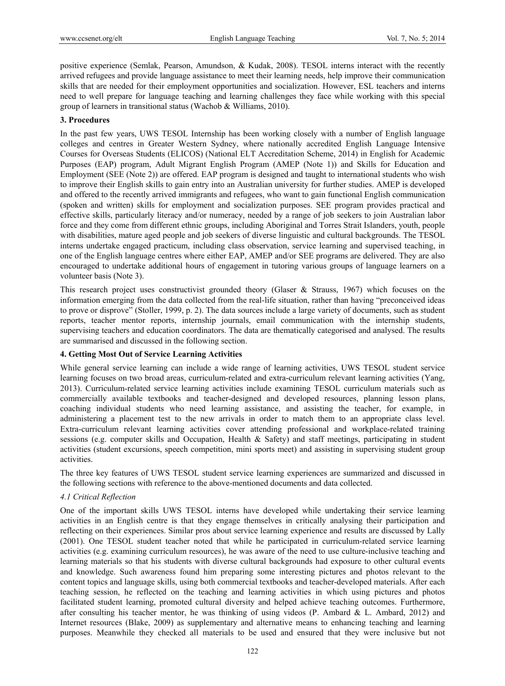positive experience (Semlak, Pearson, Amundson, & Kudak, 2008). TESOL interns interact with the recently arrived refugees and provide language assistance to meet their learning needs, help improve their communication skills that are needed for their employment opportunities and socialization. However, ESL teachers and interns need to well prepare for language teaching and learning challenges they face while working with this special group of learners in transitional status (Wachob & Williams, 2010).

# **3. Procedures**

In the past few years, UWS TESOL Internship has been working closely with a number of English language colleges and centres in Greater Western Sydney, where nationally accredited English Language Intensive Courses for Overseas Students (ELICOS) (National ELT Accreditation Scheme, 2014) in English for Academic Purposes (EAP) program, Adult Migrant English Program (AMEP (Note 1)) and Skills for Education and Employment (SEE (Note 2)) are offered. EAP program is designed and taught to international students who wish to improve their English skills to gain entry into an Australian university for further studies. AMEP is developed and offered to the recently arrived immigrants and refugees, who want to gain functional English communication (spoken and written) skills for employment and socialization purposes. SEE program provides practical and effective skills, particularly literacy and/or numeracy, needed by a range of job seekers to join Australian labor force and they come from different ethnic groups, including Aboriginal and Torres Strait Islanders, youth, people with disabilities, mature aged people and job seekers of diverse linguistic and cultural backgrounds. The TESOL interns undertake engaged practicum, including class observation, service learning and supervised teaching, in one of the English language centres where either EAP, AMEP and/or SEE programs are delivered. They are also encouraged to undertake additional hours of engagement in tutoring various groups of language learners on a volunteer basis (Note 3).

This research project uses constructivist grounded theory (Glaser & Strauss, 1967) which focuses on the information emerging from the data collected from the real-life situation, rather than having "preconceived ideas to prove or disprove" (Stoller, 1999, p. 2). The data sources include a large variety of documents, such as student reports, teacher mentor reports, internship journals, email communication with the internship students, supervising teachers and education coordinators. The data are thematically categorised and analysed. The results are summarised and discussed in the following section.

# **4. Getting Most Out of Service Learning Activities**

While general service learning can include a wide range of learning activities, UWS TESOL student service learning focuses on two broad areas, curriculum-related and extra-curriculum relevant learning activities (Yang, 2013). Curriculum-related service learning activities include examining TESOL curriculum materials such as commercially available textbooks and teacher-designed and developed resources, planning lesson plans, coaching individual students who need learning assistance, and assisting the teacher, for example, in administering a placement test to the new arrivals in order to match them to an appropriate class level. Extra-curriculum relevant learning activities cover attending professional and workplace-related training sessions (e.g. computer skills and Occupation, Health & Safety) and staff meetings, participating in student activities (student excursions, speech competition, mini sports meet) and assisting in supervising student group activities.

The three key features of UWS TESOL student service learning experiences are summarized and discussed in the following sections with reference to the above-mentioned documents and data collected.

# *4.1 Critical Reflection*

One of the important skills UWS TESOL interns have developed while undertaking their service learning activities in an English centre is that they engage themselves in critically analysing their participation and reflecting on their experiences. Similar pros about service learning experience and results are discussed by Lally (2001). One TESOL student teacher noted that while he participated in curriculum-related service learning activities (e.g. examining curriculum resources), he was aware of the need to use culture-inclusive teaching and learning materials so that his students with diverse cultural backgrounds had exposure to other cultural events and knowledge. Such awareness found him preparing some interesting pictures and photos relevant to the content topics and language skills, using both commercial textbooks and teacher-developed materials. After each teaching session, he reflected on the teaching and learning activities in which using pictures and photos facilitated student learning, promoted cultural diversity and helped achieve teaching outcomes. Furthermore, after consulting his teacher mentor, he was thinking of using videos (P. Ambard & L. Ambard, 2012) and Internet resources (Blake, 2009) as supplementary and alternative means to enhancing teaching and learning purposes. Meanwhile they checked all materials to be used and ensured that they were inclusive but not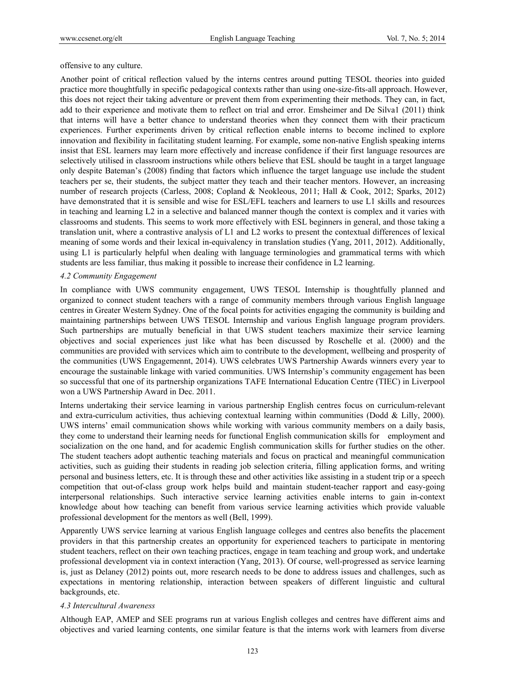offensive to any culture.

Another point of critical reflection valued by the interns centres around putting TESOL theories into guided practice more thoughtfully in specific pedagogical contexts rather than using one-size-fits-all approach. However, this does not reject their taking adventure or prevent them from experimenting their methods. They can, in fact, add to their experience and motivate them to reflect on trial and error. Emsheimer and De Silva1 (2011) think that interns will have a better chance to understand theories when they connect them with their practicum experiences. Further experiments driven by critical reflection enable interns to become inclined to explore innovation and flexibility in facilitating student learning. For example, some non-native English speaking interns insist that ESL learners may learn more effectively and increase confidence if their first language resources are selectively utilised in classroom instructions while others believe that ESL should be taught in a target language only despite Bateman's (2008) finding that factors which influence the target language use include the student teachers per se, their students, the subject matter they teach and their teacher mentors. However, an increasing number of research projects (Carless, 2008; Copland & Neokleous, 2011; Hall & Cook, 2012; Sparks, 2012) have demonstrated that it is sensible and wise for ESL/EFL teachers and learners to use L1 skills and resources in teaching and learning L2 in a selective and balanced manner though the context is complex and it varies with classrooms and students. This seems to work more effectively with ESL beginners in general, and those taking a translation unit, where a contrastive analysis of L1 and L2 works to present the contextual differences of lexical meaning of some words and their lexical in-equivalency in translation studies (Yang, 2011, 2012). Additionally, using L1 is particularly helpful when dealing with language terminologies and grammatical terms with which students are less familiar, thus making it possible to increase their confidence in L2 learning.

#### *4.2 Community Engagement*

In compliance with UWS community engagement, UWS TESOL Internship is thoughtfully planned and organized to connect student teachers with a range of community members through various English language centres in Greater Western Sydney. One of the focal points for activities engaging the community is building and maintaining partnerships between UWS TESOL Internship and various English language program providers. Such partnerships are mutually beneficial in that UWS student teachers maximize their service learning objectives and social experiences just like what has been discussed by Roschelle et al. (2000) and the communities are provided with services which aim to contribute to the development, wellbeing and prosperity of the communities (UWS Engagemennt, 2014). UWS celebrates UWS Partnership Awards winners every year to encourage the sustainable linkage with varied communities. UWS Internship's community engagement has been so successful that one of its partnership organizations TAFE International Education Centre (TIEC) in Liverpool won a UWS Partnership Award in Dec. 2011.

Interns undertaking their service learning in various partnership English centres focus on curriculum-relevant and extra-curriculum activities, thus achieving contextual learning within communities (Dodd & Lilly, 2000). UWS interns' email communication shows while working with various community members on a daily basis, they come to understand their learning needs for functional English communication skills for employment and socialization on the one hand, and for academic English communication skills for further studies on the other. The student teachers adopt authentic teaching materials and focus on practical and meaningful communication activities, such as guiding their students in reading job selection criteria, filling application forms, and writing personal and business letters, etc. It is through these and other activities like assisting in a student trip or a speech competition that out-of-class group work helps build and maintain student-teacher rapport and easy-going interpersonal relationships. Such interactive service learning activities enable interns to gain in-context knowledge about how teaching can benefit from various service learning activities which provide valuable professional development for the mentors as well (Bell, 1999).

Apparently UWS service learning at various English language colleges and centres also benefits the placement providers in that this partnership creates an opportunity for experienced teachers to participate in mentoring student teachers, reflect on their own teaching practices, engage in team teaching and group work, and undertake professional development via in context interaction (Yang, 2013). Of course, well-progressed as service learning is, just as Delaney (2012) points out, more research needs to be done to address issues and challenges, such as expectations in mentoring relationship, interaction between speakers of different linguistic and cultural backgrounds, etc.

#### *4.3 Intercultural Awareness*

Although EAP, AMEP and SEE programs run at various English colleges and centres have different aims and objectives and varied learning contents, one similar feature is that the interns work with learners from diverse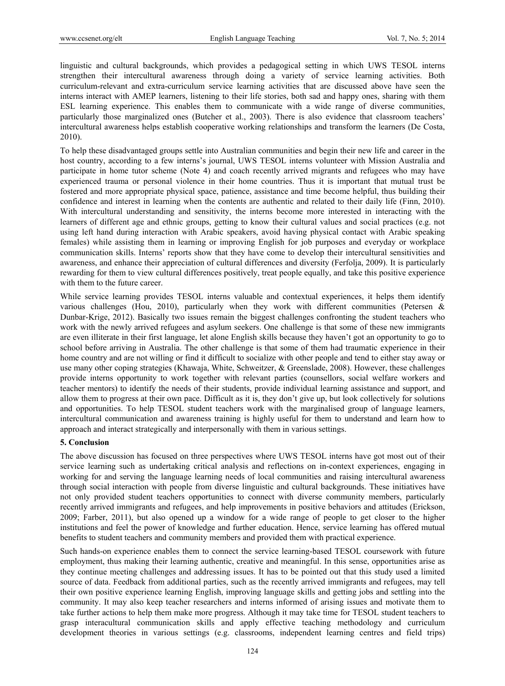linguistic and cultural backgrounds, which provides a pedagogical setting in which UWS TESOL interns strengthen their intercultural awareness through doing a variety of service learning activities. Both curriculum-relevant and extra-curriculum service learning activities that are discussed above have seen the interns interact with AMEP learners, listening to their life stories, both sad and happy ones, sharing with them ESL learning experience. This enables them to communicate with a wide range of diverse communities, particularly those marginalized ones (Butcher et al., 2003). There is also evidence that classroom teachers' intercultural awareness helps establish cooperative working relationships and transform the learners (De Costa, 2010).

To help these disadvantaged groups settle into Australian communities and begin their new life and career in the host country, according to a few interns's journal, UWS TESOL interns volunteer with Mission Australia and participate in home tutor scheme (Note 4) and coach recently arrived migrants and refugees who may have experienced trauma or personal violence in their home countries. Thus it is important that mutual trust be fostered and more appropriate physical space, patience, assistance and time become helpful, thus building their confidence and interest in learning when the contents are authentic and related to their daily life (Finn, 2010). With intercultural understanding and sensitivity, the interns become more interested in interacting with the learners of different age and ethnic groups, getting to know their cultural values and social practices (e.g. not using left hand during interaction with Arabic speakers, avoid having physical contact with Arabic speaking females) while assisting them in learning or improving English for job purposes and everyday or workplace communication skills. Interns' reports show that they have come to develop their intercultural sensitivities and awareness, and enhance their appreciation of cultural differences and diversity (Ferfolja, 2009). It is particularly rewarding for them to view cultural differences positively, treat people equally, and take this positive experience with them to the future career.

While service learning provides TESOL interns valuable and contextual experiences, it helps them identify various challenges (Hou, 2010), particularly when they work with different communities (Petersen & Dunbar-Krige, 2012). Basically two issues remain the biggest challenges confronting the student teachers who work with the newly arrived refugees and asylum seekers. One challenge is that some of these new immigrants are even illiterate in their first language, let alone English skills because they haven't got an opportunity to go to school before arriving in Australia. The other challenge is that some of them had traumatic experience in their home country and are not willing or find it difficult to socialize with other people and tend to either stay away or use many other coping strategies (Khawaja, White, Schweitzer, & Greenslade, 2008). However, these challenges provide interns opportunity to work together with relevant parties (counsellors, social welfare workers and teacher mentors) to identify the needs of their students, provide individual learning assistance and support, and allow them to progress at their own pace. Difficult as it is, they don't give up, but look collectively for solutions and opportunities. To help TESOL student teachers work with the marginalised group of language learners, intercultural communication and awareness training is highly useful for them to understand and learn how to approach and interact strategically and interpersonally with them in various settings.

# **5. Conclusion**

The above discussion has focused on three perspectives where UWS TESOL interns have got most out of their service learning such as undertaking critical analysis and reflections on in-context experiences, engaging in working for and serving the language learning needs of local communities and raising intercultural awareness through social interaction with people from diverse linguistic and cultural backgrounds. These initiatives have not only provided student teachers opportunities to connect with diverse community members, particularly recently arrived immigrants and refugees, and help improvements in positive behaviors and attitudes (Erickson, 2009; Farber, 2011), but also opened up a window for a wide range of people to get closer to the higher institutions and feel the power of knowledge and further education. Hence, service learning has offered mutual benefits to student teachers and community members and provided them with practical experience.

Such hands-on experience enables them to connect the service learning-based TESOL coursework with future employment, thus making their learning authentic, creative and meaningful. In this sense, opportunities arise as they continue meeting challenges and addressing issues. It has to be pointed out that this study used a limited source of data. Feedback from additional parties, such as the recently arrived immigrants and refugees, may tell their own positive experience learning English, improving language skills and getting jobs and settling into the community. It may also keep teacher researchers and interns informed of arising issues and motivate them to take further actions to help them make more progress. Although it may take time for TESOL student teachers to grasp interacultural communication skills and apply effective teaching methodology and curriculum development theories in various settings (e.g. classrooms, independent learning centres and field trips)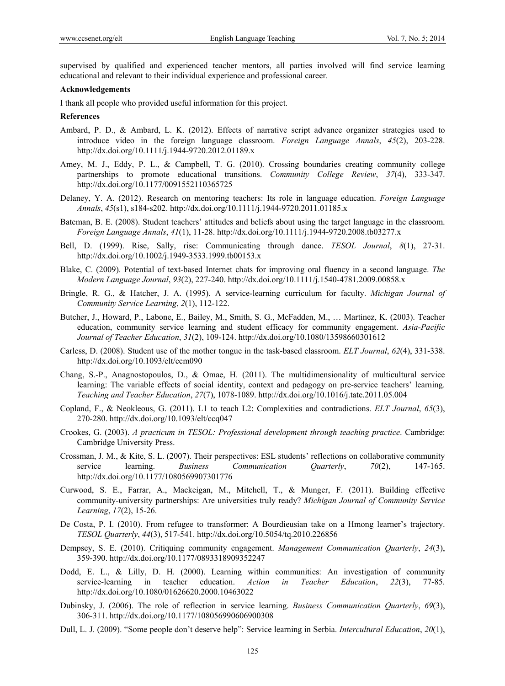supervised by qualified and experienced teacher mentors, all parties involved will find service learning educational and relevant to their individual experience and professional career.

#### **Acknowledgements**

I thank all people who provided useful information for this project.

#### **References**

- Ambard, P. D., & Ambard, L. K. (2012). Effects of narrative script advance organizer strategies used to introduce video in the foreign language classroom. *Foreign Language Annals*, *45*(2), 203-228. http://dx.doi.org/10.1111/j.1944-9720.2012.01189.x
- Amey, M. J., Eddy, P. L., & Campbell, T. G. (2010). Crossing boundaries creating community college partnerships to promote educational transitions. *Community College Review*, *37*(4), 333-347. http://dx.doi.org/10.1177/0091552110365725
- Delaney, Y. A. (2012). Research on mentoring teachers: Its role in language education. *Foreign Language Annals*, *45*(s1), s184-s202. http://dx.doi.org/10.1111/j.1944-9720.2011.01185.x
- Bateman, B. E. (2008). Student teachers' attitudes and beliefs about using the target language in the classroom. *Foreign Language Annals*, *41*(1), 11-28. http://dx.doi.org/10.1111/j.1944-9720.2008.tb03277.x
- Bell, D. (1999). Rise, Sally, rise: Communicating through dance. *TESOL Journal*, *8*(1), 27-31. http://dx.doi.org/10.1002/j.1949-3533.1999.tb00153.x
- Blake, C. (2009). Potential of text-based Internet chats for improving oral fluency in a second language. *The Modern Language Journal*, *93*(2), 227-240. http://dx.doi.org/10.1111/j.1540-4781.2009.00858.x
- Bringle, R. G., & Hatcher, J. A. (1995). A service-learning curriculum for faculty. *Michigan Journal of Community Service Learning*, *2*(1), 112-122.
- Butcher, J., Howard, P., Labone, E., Bailey, M., Smith, S. G., McFadden, M., … Martinez, K. (2003). Teacher education, community service learning and student efficacy for community engagement. *Asia-Pacific Journal of Teacher Education*, *31*(2), 109-124. http://dx.doi.org/10.1080/13598660301612
- Carless, D. (2008). Student use of the mother tongue in the task-based classroom. *ELT Journal*, *62*(4), 331-338. http://dx.doi.org/10.1093/elt/ccm090
- Chang, S.-P., Anagnostopoulos, D., & Omae, H. (2011). The multidimensionality of multicultural service learning: The variable effects of social identity, context and pedagogy on pre-service teachers' learning. *Teaching and Teacher Education*, *27*(7), 1078-1089. http://dx.doi.org/10.1016/j.tate.2011.05.004
- Copland, F., & Neokleous, G. (2011). L1 to teach L2: Complexities and contradictions. *ELT Journal*, *65*(3), 270-280. http://dx.doi.org/10.1093/elt/ccq047
- Crookes, G. (2003). *A practicum in TESOL: Professional development through teaching practice*. Cambridge: Cambridge University Press.
- Crossman, J. M., & Kite, S. L. (2007). Their perspectives: ESL students' reflections on collaborative community service learning. *Business Communication Quarterly*, *70*(2), 147-165. http://dx.doi.org/10.1177/1080569907301776
- Curwood, S. E., Farrar, A., Mackeigan, M., Mitchell, T., & Munger, F. (2011). Building effective community-university partnerships: Are universities truly ready? *Michigan Journal of Community Service Learning*, *17*(2), 15-26.
- De Costa, P. I. (2010). From refugee to transformer: A Bourdieusian take on a Hmong learner's trajectory. *TESOL Quarterly*, *44*(3), 517-541. http://dx.doi.org/10.5054/tq.2010.226856
- Dempsey, S. E. (2010). Critiquing community engagement. *Management Communication Quarterly*, *24*(3), 359-390. http://dx.doi.org/10.1177/0893318909352247
- Dodd, E. L., & Lilly, D. H. (2000). Learning within communities: An investigation of community service-learning in teacher education. *Action in Teacher Education*, *22*(3), 77-85. http://dx.doi.org/10.1080/01626620.2000.10463022
- Dubinsky, J. (2006). The role of reflection in service learning. *Business Communication Quarterly*, *69*(3), 306-311. http://dx.doi.org/10.1177/108056990606900308
- Dull, L. J. (2009). "Some people don't deserve help": Service learning in Serbia. *Intercultural Education*, *20*(1),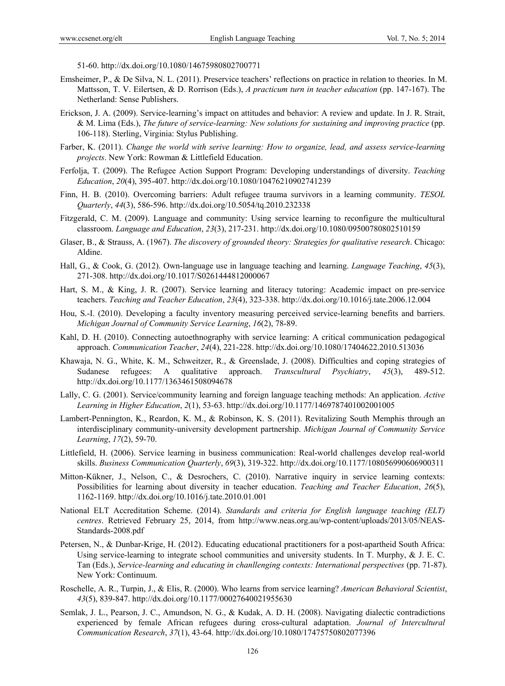51-60. http://dx.doi.org/10.1080/14675980802700771

- Emsheimer, P., & De Silva, N. L. (2011). Preservice teachers' reflections on practice in relation to theories. In M. Mattsson, T. V. Eilertsen, & D. Rorrison (Eds.), *A practicum turn in teacher education* (pp. 147-167). The Netherland: Sense Publishers.
- Erickson, J. A. (2009). Service-learning's impact on attitudes and behavior: A review and update. In J. R. Strait, & M. Lima (Eds.), *The future of service-learning: New solutions for sustaining and improving practice* (pp. 106-118). Sterling, Virginia: Stylus Publishing.
- Farber, K. (2011). *Change the world with serive learning: How to organize, lead, and assess service-learning projects*. New York: Rowman & Littlefield Education.
- Ferfolja, T. (2009). The Refugee Action Support Program: Developing understandings of diversity. *Teaching Education*, *20*(4), 395-407. http://dx.doi.org/10.1080/10476210902741239
- Finn, H. B. (2010). Overcoming barriers: Adult refugee trauma survivors in a learning community. *TESOL Quarterly*, *44*(3), 586-596. http://dx.doi.org/10.5054/tq.2010.232338
- Fitzgerald, C. M. (2009). Language and community: Using service learning to reconfigure the multicultural classroom. *Language and Education*, *23*(3), 217-231. http://dx.doi.org/10.1080/09500780802510159
- Glaser, B., & Strauss, A. (1967). *The discovery of grounded theory: Strategies for qualitative research*. Chicago: Aldine.
- Hall, G., & Cook, G. (2012). Own-language use in language teaching and learning. *Language Teaching*, *45*(3), 271-308. http://dx.doi.org/10.1017/S0261444812000067
- Hart, S. M., & King, J. R. (2007). Service learning and literacy tutoring: Academic impact on pre-service teachers. *Teaching and Teacher Education*, *23*(4), 323-338. http://dx.doi.org/10.1016/j.tate.2006.12.004
- Hou, S.-I. (2010). Developing a faculty inventory measuring perceived service-learning benefits and barriers. *Michigan Journal of Community Service Learning*, *16*(2), 78-89.
- Kahl, D. H. (2010). Connecting autoethnography with service learning: A critical communication pedagogical approach. *Communication Teacher*, *24*(4), 221-228. http://dx.doi.org/10.1080/17404622.2010.513036
- Khawaja, N. G., White, K. M., Schweitzer, R., & Greenslade, J. (2008). Difficulties and coping strategies of Sudanese refugees: A qualitative approach. *Transcultural Psychiatry*, *45*(3), 489-512. http://dx.doi.org/10.1177/1363461508094678
- Lally, C. G. (2001). Service/community learning and foreign language teaching methods: An application. *Active Learning in Higher Education*, *2*(1), 53-63. http://dx.doi.org/10.1177/1469787401002001005
- Lambert-Pennington, K., Reardon, K. M., & Robinson, K. S. (2011). Revitalizing South Memphis through an interdisciplinary community-university development partnership. *Michigan Journal of Community Service Learning*, *17*(2), 59-70.
- Littlefield, H. (2006). Service learning in business communication: Real-world challenges develop real-world skills. *Business Communication Quarterly*, *69*(3), 319-322. http://dx.doi.org/10.1177/108056990606900311
- Mitton-Kükner, J., Nelson, C., & Desrochers, C. (2010). Narrative inquiry in service learning contexts: Possibilities for learning about diversity in teacher education. *Teaching and Teacher Education*, *26*(5), 1162-1169. http://dx.doi.org/10.1016/j.tate.2010.01.001
- National ELT Accreditation Scheme. (2014). *Standards and criteria for English language teaching (ELT) centres*. Retrieved February 25, 2014, from http://www.neas.org.au/wp-content/uploads/2013/05/NEAS-Standards-2008.pdf
- Petersen, N., & Dunbar-Krige, H. (2012). Educating educational practitioners for a post-apartheid South Africa: Using service-learning to integrate school communities and university students. In T. Murphy, & J. E. C. Tan (Eds.), *Service-learning and educating in chanllenging contexts: International perspectives* (pp. 71-87). New York: Continuum.
- Roschelle, A. R., Turpin, J., & Elis, R. (2000). Who learns from service learning? *American Behavioral Scientist*, *43*(5), 839-847. http://dx.doi.org/10.1177/00027640021955630
- Semlak, J. L., Pearson, J. C., Amundson, N. G., & Kudak, A. D. H. (2008). Navigating dialectic contradictions experienced by female African refugees during cross-cultural adaptation. *Journal of Intercultural Communication Research*, *37*(1), 43-64. http://dx.doi.org/10.1080/17475750802077396